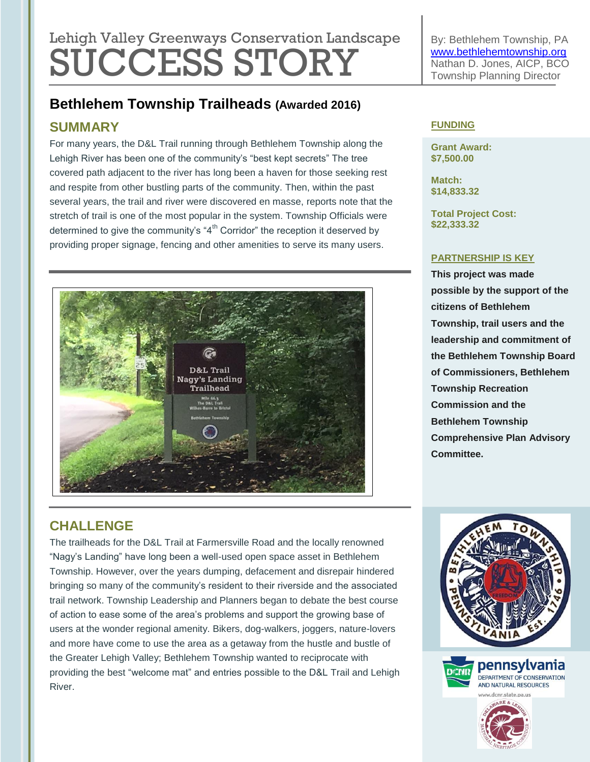# Lehigh Valley Greenways Conservation Landscape SUCCESS STORY

**Bethlehem Township Trailheads (Awarded 2016)**

## **SUMMARY**

For many years, the D&L Trail running through Bethlehem Township along the Lehigh River has been one of the community's "best kept secrets" The tree covered path adjacent to the river has long been a haven for those seeking rest and respite from other bustling parts of the community. Then, within the past several years, the trail and river were discovered en masse, reports note that the stretch of trail is one of the most popular in the system. Township Officials were determined to give the community's " $4<sup>th</sup>$  Corridor" the reception it deserved by providing proper signage, fencing and other amenities to serve its many users.



By: Bethlehem Township, PA [www.bethlehemtownship.org](http://www.bethlehemtownship.org/) Nathan D. Jones, AICP, BCO Township Planning Director

#### **FUNDING**

**Grant Award: \$7,500.00**

**Match: \$14,833.32**

**Total Project Cost: \$22,333.32**

#### **PARTNERSHIP IS KEY**

**This project was made possible by the support of the citizens of Bethlehem Township, trail users and the leadership and commitment of the Bethlehem Township Board of Commissioners, Bethlehem Township Recreation Commission and the Bethlehem Township Comprehensive Plan Advisory Committee.** 

## **CHALLENGE**

The trailheads for the D&L Trail at Farmersville Road and the locally renowned "Nagy's Landing" have long been a well-used open space asset in Bethlehem Township. However, over the years dumping, defacement and disrepair hindered bringing so many of the community's resident to their riverside and the associated trail network. Township Leadership and Planners began to debate the best course of action to ease some of the area's problems and support the growing base of users at the wonder regional amenity. Bikers, dog-walkers, joggers, nature-lovers and more have come to use the area as a getaway from the hustle and bustle of the Greater Lehigh Valley; Bethlehem Township wanted to reciprocate with providing the best "welcome mat" and entries possible to the D&L Trail and Lehigh River.